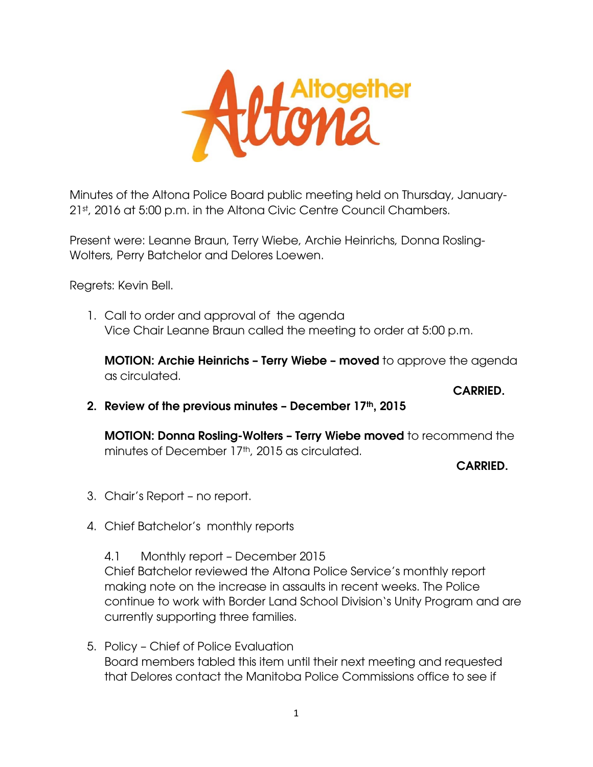*LAltogether*<br>**COM2** 

Minutes of the Altona Police Board public meeting held on Thursday, January-21st, 2016 at 5:00 p.m. in the Altona Civic Centre Council Chambers.

Present were: Leanne Braun, Terry Wiebe, Archie Heinrichs, Donna Rosling-Wolters, Perry Batchelor and Delores Loewen.

Regrets: Kevin Bell.

1. Call to order and approval of the agenda Vice Chair Leanne Braun called the meeting to order at 5:00 p.m.

**MOTION: Archie Heinrichs – Terry Wiebe – moved** to approve the agenda as circulated.

**CARRIED. CARRIED.** 

**2. Review of the previous minutes – December 17th, 2015** 

**MOTION: Donna Rosling-Wolters – Terry Wiebe moved** to recommend the minutes of December 17<sup>th</sup>, 2015 as circulated.

 **CARRIED.** 

- 3. Chair's Report no report.
- 4. Chief Batchelor's monthly reports

4.1 Monthly report – December 2015 Chief Batchelor reviewed the Altona Police Service's monthly report making note on the increase in assaults in recent weeks. The Police continue to work with Border Land School Division's Unity Program and are currently supporting three families.

5. Policy – Chief of Police Evaluation Board members tabled this item until their next meeting and requested that Delores contact the Manitoba Police Commissions office to see if